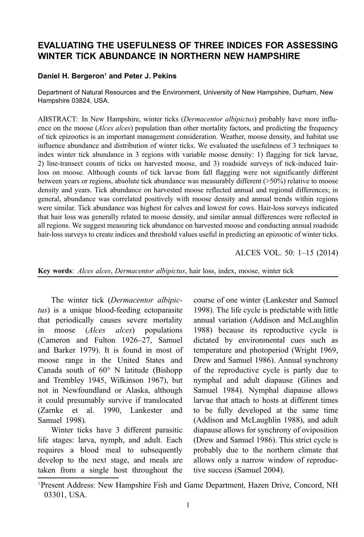# EVALUATING THE USEFULNESS OF THREE INDICES FOR ASSESSING WINTER TICK ABUNDANCE IN NORTHERN NEW HAMPSHIRE

#### Daniel H. Bergeron<sup>1</sup> and Peter J. Pekins

Department of Natural Resources and the Environment, University of New Hampshire, Durham, New Hampshire 03824, USA.

ABSTRACT: In New Hampshire, winter ticks (*Dermacentor albipictus*) probably have more influence on the moose (*Alces alces*) population than other mortality factors, and predicting the frequency of tick epizootics is an important management consideration. Weather, moose density, and habitat use influence abundance and distribution of winter ticks. We evaluated the usefulness of 3 techniques to index winter tick abundance in 3 regions with variable moose density: 1) flagging for tick larvae, 2) line-transect counts of ticks on harvested moose, and 3) roadside surveys of tick-induced hairloss on moose. Although counts of tick larvae from fall flagging were not significantly different between years or regions, absolute tick abundance was measurably different (>50%) relative to moose density and years. Tick abundance on harvested moose reflected annual and regional differences; in general, abundance was correlated positively with moose density and annual trends within regions were similar. Tick abundance was highest for calves and lowest for cows. Hair-loss surveys indicated that hair loss was generally related to moose density, and similar annual differences were reflected in all regions. We suggest measuring tick abundance on harvested moose and conducting annual roadside hair-loss surveys to create indices and threshold values useful in predicting an epizootic of winter ticks.

ALCES VOL. 50: 1–15 (2014)

Key words: Alces alces, Dermacentor albipictus, hair loss, index, moose, winter tick

The winter tick (Dermacentor albipictus) is a unique blood-feeding ectoparasite that periodically causes severe mortality in moose (Alces alces) populations (Cameron and Fulton [1926](#page-12-0)–27, Samuel and Barker [1979](#page-14-0)). It is found in most of moose range in the United States and Canada south of 60° N latitude (Bishopp and Trembley [1945,](#page-12-0) Wilkinson [1967\)](#page-14-0), but not in Newfoundland or Alaska, although it could presumably survive if translocated (Zarnke et al. [1990](#page-14-0), Lankester and Samuel [1998](#page-13-0)).

Winter ticks have 3 different parasitic life stages: larva, nymph, and adult. Each requires a blood meal to subsequently develop to the next stage, and meals are taken from a single host throughout the course of one winter (Lankester and Samuel [1998\)](#page-13-0). The life cycle is predictable with little annual variation (Addison and McLaughlin [1988\)](#page-12-0) because its reproductive cycle is dictated by environmental cues such as temperature and photoperiod (Wright [1969,](#page-14-0) Drew and Samuel [1986](#page-13-0)). Annual synchrony of the reproductive cycle is partly due to nymphal and adult diapause (Glines and Samuel [1984](#page-13-0)). Nymphal diapause allows larvae that attach to hosts at different times to be fully developed at the same time (Addison and McLaughlin [1988](#page-12-0)), and adult diapause allows for synchrony of oviposition (Drew and Samuel [1986](#page-13-0)). This strict cycle is probably due to the northern climate that allows only a narrow window of reproductive success (Samuel [2004](#page-13-0)).

<sup>&</sup>lt;sup>1</sup> Present Address: New Hampshire Fish and Game Department, Hazen Drive, Concord, NH 03301, USA.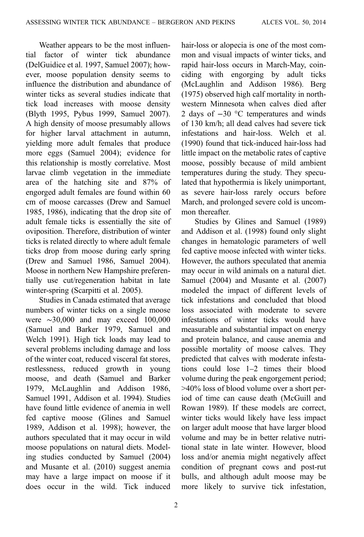Weather appears to be the most influential factor of winter tick abundance (DelGuidice et al. [1997](#page-13-0), Samuel [2007](#page-14-0)); however, moose population density seems to influence the distribution and abundance of winter ticks as several studies indicate that tick load increases with moose density (Blyth [1995](#page-12-0), Pybus [1999](#page-13-0), Samuel [2007](#page-14-0)). A high density of moose presumably allows for higher larval attachment in autumn, yielding more adult females that produce more eggs (Samuel [2004](#page-13-0)); evidence for this relationship is mostly correlative. Most larvae climb vegetation in the immediate area of the hatching site and 87% of engorged adult females are found within 60 cm of moose carcasses (Drew and Samuel [1985, 1986\)](#page-13-0), indicating that the drop site of adult female ticks is essentially the site of oviposition. Therefore, distribution of winter ticks is related directly to where adult female ticks drop from moose during early spring (Drew and Samuel [1986,](#page-13-0) Samuel [2004](#page-13-0)). Moose in northern New Hampshire preferentially use cut/regeneration habitat in late winter-spring (Scarpitti et al. [2005](#page-14-0)).

Studies in Canada estimated that average numbers of winter ticks on a single moose were ∼30,000 and may exceed 100,000 (Samuel and Barker [1979](#page-14-0), Samuel and Welch [1991\)](#page-14-0). High tick loads may lead to several problems including damage and loss of the winter coat, reduced visceral fat stores, restlessness, reduced growth in young moose, and death (Samuel and Barker [1979,](#page-14-0) McLaughlin and Addison [1986,](#page-13-0) Samuel [1991,](#page-13-0) Addison et al. [1994\)](#page-12-0). Studies have found little evidence of anemia in well fed captive moose (Glines and Samuel [1989,](#page-13-0) Addison et al. [1998\)](#page-12-0); however, the authors speculated that it may occur in wild moose populations on natural diets. Modeling studies conducted by Samuel [\(2004](#page-13-0)) and Musante et al. [\(2010\)](#page-13-0) suggest anemia may have a large impact on moose if it does occur in the wild. Tick induced

hair-loss or alopecia is one of the most common and visual impacts of winter ticks, and rapid hair-loss occurs in March-May, coinciding with engorging by adult ticks (McLaughlin and Addison [1986](#page-13-0)). Berg [\(1975\)](#page-12-0) observed high calf mortality in northwestern Minnesota when calves died after 2 days of −30 °C temperatures and winds of 130 km/h; all dead calves had severe tick infestations and hair-loss. Welch et al. [\(1990\)](#page-14-0) found that tick-induced hair-loss had little impact on the metabolic rates of captive moose, possibly because of mild ambient temperatures during the study. They speculated that hypothermia is likely unimportant, as severe hair-loss rarely occurs before March, and prolonged severe cold is uncommon thereafter.

Studies by Glines and Samuel ([1989\)](#page-13-0) and Addison et al. ([1998\)](#page-12-0) found only slight changes in hematologic parameters of well fed captive moose infected with winter ticks. However, the authors speculated that anemia may occur in wild animals on a natural diet. Samuel [\(2004\)](#page-13-0) and Musante et al. ([2007\)](#page-13-0) modeled the impact of different levels of tick infestations and concluded that blood loss associated with moderate to severe infestations of winter ticks would have measurable and substantial impact on energy and protein balance, and cause anemia and possible mortality of moose calves. They predicted that calves with moderate infestations could lose 1–2 times their blood volume during the peak engorgement period; >40% loss of blood volume over a short period of time can cause death (McGuill and Rowan [1989](#page-13-0)). If these models are correct, winter ticks would likely have less impact on larger adult moose that have larger blood volume and may be in better relative nutritional state in late winter. However, blood loss and/or anemia might negatively affect condition of pregnant cows and post-rut bulls, and although adult moose may be more likely to survive tick infestation,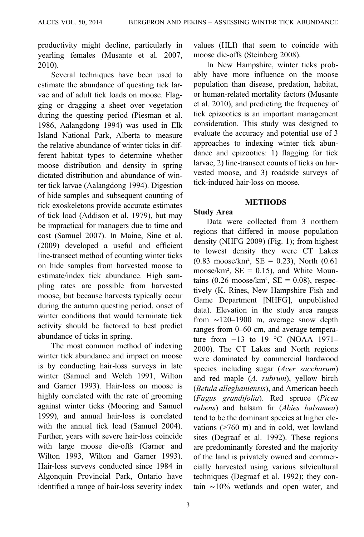productivity might decline, particularly in yearling females (Musante et al. [2007](#page-13-0), [2010\)](#page-13-0).

Several techniques have been used to estimate the abundance of questing tick larvae and of adult tick loads on moose. Flagging or dragging a sheet over vegetation during the questing period (Piesman et al. [1986,](#page-13-0) Aalangdong [1994](#page-12-0)) was used in Elk Island National Park, Alberta to measure the relative abundance of winter ticks in different habitat types to determine whether moose distribution and density in spring dictated distribution and abundance of winter tick larvae (Aalangdong [1994\)](#page-12-0). Digestion of hide samples and subsequent counting of tick exoskeletons provide accurate estimates of tick load (Addison et al. [1979](#page-12-0)), but may be impractical for managers due to time and cost (Samuel [2007\)](#page-14-0). In Maine, Sine et al. ([2009](#page-14-0)) developed a useful and efficient line-transect method of counting winter ticks on hide samples from harvested moose to estimate/index tick abundance. High sampling rates are possible from harvested moose, but because harvests typically occur during the autumn questing period, onset of winter conditions that would terminate tick activity should be factored to best predict abundance of ticks in spring.

The most common method of indexing winter tick abundance and impact on moose is by conducting hair-loss surveys in late winter (Samuel and Welch [1991,](#page-14-0) Wilton and Garner [1993](#page-14-0)). Hair-loss on moose is highly correlated with the rate of grooming against winter ticks (Mooring and Samuel [1999\)](#page-13-0), and annual hair-loss is correlated with the annual tick load (Samuel [2004\)](#page-13-0). Further, years with severe hair-loss coincide with large moose die-offs (Garner and Wilton [1993](#page-13-0), Wilton and Garner [1993\)](#page-14-0). Hair-loss surveys conducted since 1984 in Algonquin Provincial Park, Ontario have identified a range of hair-loss severity index values (HLI) that seem to coincide with moose die-offs (Steinberg [2008](#page-14-0)).

In New Hampshire, winter ticks probably have more influence on the moose population than disease, predation, habitat, or human-related mortality factors (Musante et al. [2010\)](#page-13-0), and predicting the frequency of tick epizootics is an important management consideration. This study was designed to evaluate the accuracy and potential use of 3 approaches to indexing winter tick abundance and epizootics: 1) flagging for tick larvae, 2) line-transect counts of ticks on harvested moose, and 3) roadside surveys of tick-induced hair-loss on moose.

# **METHODS**

# Study Area

Data were collected from 3 northern regions that differed in moose population density (NHFG [2009\)](#page-13-0) [\(Fig. 1](#page-3-0)); from highest to lowest density they were CT Lakes  $(0.83 \text{ moose/km}^2, \text{SE} = 0.23)$ , North  $(0.61$ moose/ $km^2$ ,  $SE = 0.15$ ), and White Mountains  $(0.26 \text{ moose/km}^2, \text{SE} = 0.08)$ , respectively (K. Rines, New Hampshire Fish and Game Department [NHFG], unpublished data). Elevation in the study area ranges from ∼120–1900 m, average snow depth ranges from 0–60 cm, and average temperature from  $-13$  to 19 °C (NOAA 1971– 2000). The CT Lakes and North regions were dominated by commercial hardwood species including sugar (Acer saccharum) and red maple (A. rubrum), yellow birch (Betula alleghaniensis), and American beech (Fagus grandifolia). Red spruce (Picea rubens) and balsam fir (Abies balsamea) tend to be the dominant species at higher elevations (>760 m) and in cold, wet lowland sites (Degraaf et al. [1992\)](#page-12-0). These regions are predominantly forested and the majority of the land is privately owned and commercially harvested using various silvicultural techniques (Degraaf et al. [1992\)](#page-12-0); they contain ∼10% wetlands and open water, and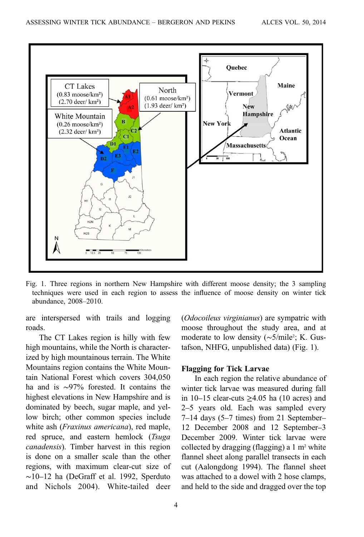<span id="page-3-0"></span>

Fig. 1. Three regions in northern New Hampshire with different moose density; the 3 sampling techniques were used in each region to assess the influence of moose density on winter tick abundance, 2008–2010.

are interspersed with trails and logging roads.

The CT Lakes region is hilly with few high mountains, while the North is characterized by high mountainous terrain. The White Mountains region contains the White Mountain National Forest which covers 304,050 ha and is ∼97% forested. It contains the highest elevations in New Hampshire and is dominated by beech, sugar maple, and yellow birch; other common species include white ash (*Fraxinus americana*), red maple, red spruce, and eastern hemlock (Tsuga canadensis). Timber harvest in this region is done on a smaller scale than the other regions, with maximum clear-cut size of ∼10–12 ha (DeGraff et al. [1992,](#page-12-0) Sperduto and Nichols [2004](#page-14-0)). White-tailed deer (Odocoileus virginianus) are sympatric with moose throughout the study area, and at moderate to low density (~5/mile<sup>2</sup>; K. Gustafson, NHFG, unpublished data) (Fig. 1).

#### Flagging for Tick Larvae

In each region the relative abundance of winter tick larvae was measured during fall in  $10-15$  clear-cuts >4.05 ha (10 acres) and 2–5 years old. Each was sampled every 7–14 days (5–7 times) from 21 September– 12 December 2008 and 12 September–3 December 2009. Winter tick larvae were collected by dragging (flagging) a  $1 \text{ m}^2$  white flannel sheet along parallel transects in each cut (Aalongdong 1994). The flannel sheet was attached to a dowel with 2 hose clamps, and held to the side and dragged over the top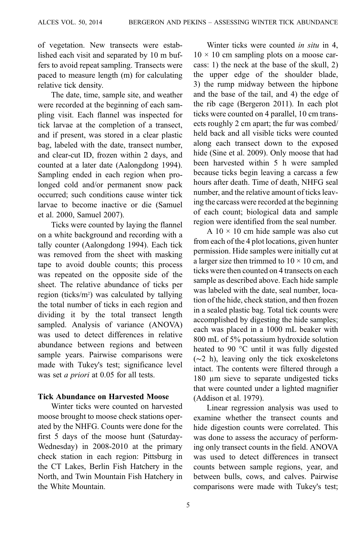of vegetation. New transects were established each visit and separated by 10 m buffers to avoid repeat sampling. Transects were paced to measure length (m) for calculating relative tick density.

The date, time, sample site, and weather were recorded at the beginning of each sampling visit. Each flannel was inspected for tick larvae at the completion of a transect, and if present, was stored in a clear plastic bag, labeled with the date, transect number, and clear-cut ID, frozen within 2 days, and counted at a later date (Aalongdong 1994). Sampling ended in each region when prolonged cold and/or permanent snow pack occurred; such conditions cause winter tick larvae to become inactive or die (Samuel et al. [2000,](#page-14-0) Samuel [2007](#page-14-0)).

Ticks were counted by laying the flannel on a white background and recording with a tally counter (Aalongdong 1994). Each tick was removed from the sheet with masking tape to avoid double counts; this process was repeated on the opposite side of the sheet. The relative abundance of ticks per region (ticks/m<sup>2</sup>) was calculated by tallying the total number of ticks in each region and dividing it by the total transect length sampled. Analysis of variance (ANOVA) was used to detect differences in relative abundance between regions and between sample years. Pairwise comparisons were made with Tukey's test; significance level was set *a priori* at 0.05 for all tests.

### Tick Abundance on Harvested Moose

Winter ticks were counted on harvested moose brought to moose check stations operated by the NHFG. Counts were done for the first 5 days of the moose hunt (Saturday-Wednesday) in 2008-2010 at the primary check station in each region: Pittsburg in the CT Lakes, Berlin Fish Hatchery in the North, and Twin Mountain Fish Hatchery in the White Mountain.

Winter ticks were counted *in situ* in 4,  $10 \times 10$  cm sampling plots on a moose carcass: 1) the neck at the base of the skull, 2) the upper edge of the shoulder blade, 3) the rump midway between the hipbone and the base of the tail, and 4) the edge of the rib cage (Bergeron [2011\)](#page-12-0). In each plot ticks were counted on 4 parallel, 10 cm transects roughly 2 cm apart; the fur was combed/ held back and all visible ticks were counted along each transect down to the exposed hide (Sine et al. [2009\)](#page-14-0). Only moose that had been harvested within 5 h were sampled because ticks begin leaving a carcass a few hours after death. Time of death, NHFG seal number, and the relative amount of ticks leaving the carcass were recorded at the beginning of each count; biological data and sample region were identified from the seal number.

A  $10 \times 10$  cm hide sample was also cut from each of the 4 plot locations, given hunter permission. Hide samples were initially cut at a larger size then trimmed to  $10 \times 10$  cm, and ticks were then counted on 4 transects on each sample as described above. Each hide sample was labeled with the date, seal number, location of the hide, check station, and then frozen in a sealed plastic bag. Total tick counts were accomplished by digesting the hide samples; each was placed in a 1000 mL beaker with 800 mL of 5% potassium hydroxide solution heated to 90 °C until it was fully digested (∼2 h), leaving only the tick exoskeletons intact. The contents were filtered through a 180 µm sieve to separate undigested ticks that were counted under a lighted magnifier (Addison et al. [1979\)](#page-12-0).

Linear regression analysis was used to examine whether the transect counts and hide digestion counts were correlated. This was done to assess the accuracy of performing only transect counts in the field. ANOVA was used to detect differences in transect counts between sample regions, year, and between bulls, cows, and calves. Pairwise comparisons were made with Tukey's test;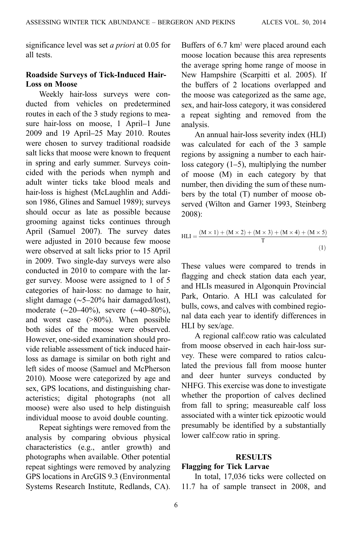significance level was set a priori at 0.05 for all tests.

## Roadside Surveys of Tick-Induced Hair-Loss on Moose

Weekly hair-loss surveys were conducted from vehicles on predetermined routes in each of the 3 study regions to measure hair-loss on moose, 1 April–1 June 2009 and 19 April–25 May 2010. Routes were chosen to survey traditional roadside salt licks that moose were known to frequent in spring and early summer. Surveys coincided with the periods when nymph and adult winter ticks take blood meals and hair-loss is highest (McLaughlin and Addison [1986,](#page-13-0) Glines and Samuel [1989](#page-13-0)); surveys should occur as late as possible because grooming against ticks continues through April (Samuel [2007](#page-14-0)). The survey dates were adjusted in 2010 because few moose were observed at salt licks prior to 15 April in 2009. Two single-day surveys were also conducted in 2010 to compare with the larger survey. Moose were assigned to 1 of 5 categories of hair-loss: no damage to hair, slight damage (∼5–20% hair damaged/lost), moderate (∼20–40%), severe (∼40–80%), and worst case (>80%). When possible both sides of the moose were observed. However, one-sided examination should provide reliable assessment of tick induced hairloss as damage is similar on both right and left sides of moose (Samuel and McPherson [2010\)](#page-14-0). Moose were categorized by age and sex, GPS locations, and distinguishing characteristics; digital photographs (not all moose) were also used to help distinguish individual moose to avoid double counting.

Repeat sightings were removed from the analysis by comparing obvious physical characteristics (e.g., antler growth) and photographs when available. Other potential repeat sightings were removed by analyzing GPS locations in ArcGIS 9.3 (Environmental Systems Research Institute, Redlands, CA). Buffers of 6.7 km<sup>2</sup> were placed around each moose location because this area represents the average spring home range of moose in New Hampshire (Scarpitti et al. [2005](#page-14-0)). If the buffers of 2 locations overlapped and the moose was categorized as the same age, sex, and hair-loss category, it was considered a repeat sighting and removed from the analysis.

An annual hair-loss severity index (HLI) was calculated for each of the 3 sample regions by assigning a number to each hairloss category (1–5), multiplying the number of moose (M) in each category by that number, then dividing the sum of these numbers by the total (T) number of moose observed (Wilton and Garner [1993,](#page-14-0) Steinberg [2008](#page-14-0)):

HLI = 
$$
\frac{(M \times 1) + (M \times 2) + (M \times 3) + (M \times 4) + (M \times 5)}{T}
$$
(1)

These values were compared to trends in flagging and check station data each year, and HLIs measured in Algonquin Provincial Park, Ontario. A HLI was calculated for bulls, cows, and calves with combined regional data each year to identify differences in HLI by sex/age.

A regional calf:cow ratio was calculated from moose observed in each hair-loss survey. These were compared to ratios calculated the previous fall from moose hunter and deer hunter surveys conducted by NHFG. This exercise was done to investigate whether the proportion of calves declined from fall to spring; measureable calf loss associated with a winter tick epizootic would presumably be identified by a substantially lower calf:cow ratio in spring.

### RESULTS

# Flagging for Tick Larvae

In total, 17,036 ticks were collected on 11.7 ha of sample transect in 2008, and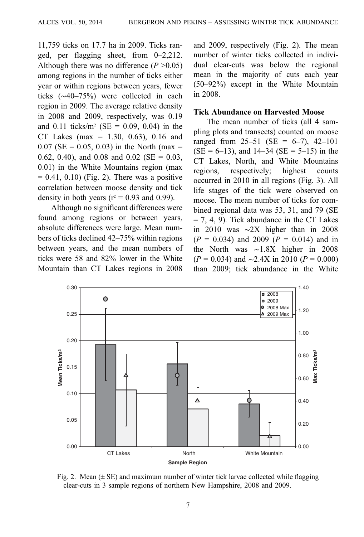11,759 ticks on 17.7 ha in 2009. Ticks ranged, per flagging sheet, from 0–2,212. Although there was no difference  $(P > 0.05)$ among regions in the number of ticks either year or within regions between years, fewer ticks (∼40–75%) were collected in each region in 2009. The average relative density in 2008 and 2009, respectively, was 0.19 and 0.11 ticks/m<sup>2</sup> (SE = 0.09, 0.04) in the CT Lakes (max =  $1.30, 0.63$ ), 0.16 and  $0.07$  (SE = 0.05, 0.03) in the North (max = 0.62, 0.40), and 0.08 and 0.02 (SE =  $0.03$ , 0.01) in the White Mountains region (max  $= 0.41, 0.10$ ) (Fig. 2). There was a positive correlation between moose density and tick density in both years ( $r^2$  = 0.93 and 0.99).

Although no significant differences were found among regions or between years, absolute differences were large. Mean numbers of ticks declined 42–75% within regions between years, and the mean numbers of ticks were 58 and 82% lower in the White Mountain than CT Lakes regions in 2008 and 2009, respectively (Fig. 2). The mean number of winter ticks collected in individual clear-cuts was below the regional mean in the majority of cuts each year (50–92%) except in the White Mountain in 2008.

#### Tick Abundance on Harvested Moose

The mean number of ticks (all 4 sampling plots and transects) counted on moose ranged from  $25-51$  (SE = 6-7), 42-101  $(SE = 6-13)$ , and  $14-34$   $(SE = 5-15)$  in the CT Lakes, North, and White Mountains regions, respectively; highest counts occurred in 2010 in all regions ([Fig. 3\)](#page-7-0). All life stages of the tick were observed on moose. The mean number of ticks for combined regional data was 53, 31, and 79 (SE  $= 7, 4, 9$ ). Tick abundance in the CT Lakes in 2010 was ∼2X higher than in 2008  $(P = 0.034)$  and 2009  $(P = 0.014)$  and in the North was ∼1.8X higher in 2008  $(P = 0.034)$  and ~2.4X in 2010 ( $P = 0.000$ ) than 2009; tick abundance in the White



Fig. 2. Mean  $(\pm S E)$  and maximum number of winter tick larvae collected while flagging clear-cuts in 3 sample regions of northern New Hampshire, 2008 and 2009.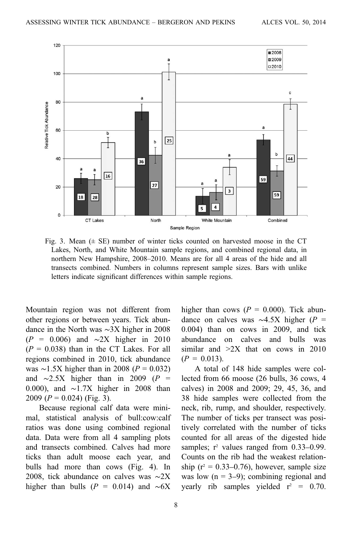<span id="page-7-0"></span>

Fig. 3. Mean  $(\pm \text{ SE})$  number of winter ticks counted on harvested moose in the CT Lakes, North, and White Mountain sample regions, and combined regional data, in northern New Hampshire, 2008–2010. Means are for all 4 areas of the hide and all transects combined. Numbers in columns represent sample sizes. Bars with unlike letters indicate significant differences within sample regions.

Mountain region was not different from other regions or between years. Tick abundance in the North was ∼3X higher in 2008  $(P = 0.006)$  and ∼2X higher in 2010  $(P = 0.038)$  than in the CT Lakes. For all regions combined in 2010, tick abundance was ∼1.5X higher than in 2008 ( $P = 0.032$ ) and  $\sim$ 2.5X higher than in 2009 (P = 0.000), and ∼1.7X higher in 2008 than 2009 ( $P = 0.024$ ) (Fig. 3).

Because regional calf data were minimal, statistical analysis of bull:cow:calf ratios was done using combined regional data. Data were from all 4 sampling plots and transects combined. Calves had more ticks than adult moose each year, and bulls had more than cows [\(Fig. 4\)](#page-8-0). In 2008, tick abundance on calves was ∼2X higher than bulls ( $P = 0.014$ ) and ~6X higher than cows ( $P = 0.000$ ). Tick abundance on calves was  $\sim$ 4.5X higher (P = 0.004) than on cows in 2009, and tick abundance on calves and bulls was similar and  $>2X$  that on cows in 2010  $(P = 0.013)$ .

A total of 148 hide samples were collected from 66 moose (26 bulls, 36 cows, 4 calves) in 2008 and 2009; 29, 45, 36, and 38 hide samples were collected from the neck, rib, rump, and shoulder, respectively. The number of ticks per transect was positively correlated with the number of ticks counted for all areas of the digested hide samples;  $r^2$  values ranged from 0.33–0.99. Counts on the rib had the weakest relationship ( $r^2 = 0.33-0.76$ ), however, sample size was low  $(n = 3-9)$ ; combining regional and yearly rib samples yielded  $r^2 = 0.70$ .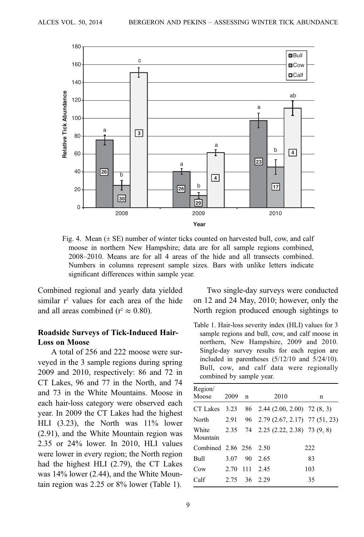<span id="page-8-0"></span>

Fig. 4. Mean  $(\pm SE)$  number of winter ticks counted on harvested bull, cow, and calf moose in northern New Hampshire; data are for all sample regions combined, 2008–2010. Means are for all 4 areas of the hide and all transects combined. Numbers in columns represent sample sizes. Bars with unlike letters indicate significant differences within sample year.

Combined regional and yearly data yielded similar  $r^2$  values for each area of the hide and all areas combined ( $r^2 \approx 0.80$ ).

## Roadside Surveys of Tick-Induced Hair-Loss on Moose

A total of 256 and 222 moose were surveyed in the 3 sample regions during spring 2009 and 2010, respectively: 86 and 72 in CT Lakes, 96 and 77 in the North, and 74 and 73 in the White Mountains. Moose in each hair-loss category were observed each year. In 2009 the CT Lakes had the highest HLI (3.23), the North was 11% lower (2.91), and the White Mountain region was 2.35 or 24% lower. In 2010, HLI values were lower in every region; the North region had the highest HLI (2.79), the CT Lakes was 14% lower (2.44), and the White Mountain region was 2.25 or 8% lower (Table 1).

Two single-day surveys were conducted on 12 and 24 May, 2010; however, only the North region produced enough sightings to

Table 1. Hair-loss severity index (HLI) values for 3 sample regions and bull, cow, and calf moose in northern, New Hampshire, 2009 and 2010. Single-day survey results for each region are included in parentheses (5/12/10 and 5/24/10). Bull, cow, and calf data were regionally combined by sample year.

| Region/<br>Moose       | 2009 | n     | 2010                                | n   |
|------------------------|------|-------|-------------------------------------|-----|
| CT Lakes               | 3.23 |       | 86 2.44 (2.00, 2.00) 72 (8, 3)      |     |
| North                  | 2.91 |       | 96 2.79 (2.67, 2.17) 77 (51, 23)    |     |
| White<br>Mountain      |      |       | 2.35 74 2.25 (2.22, 2.38) 73 (9, 8) |     |
| Combined 2.86 256 2.50 |      |       |                                     | 222 |
| Bull                   | 3.07 | 90    | - 2.65                              | 83  |
| C <sub>ow</sub>        | 2.70 | - 111 | 2.45                                | 103 |
| Calf                   | 2.75 |       | 36 2.29                             | 35  |
|                        |      |       |                                     |     |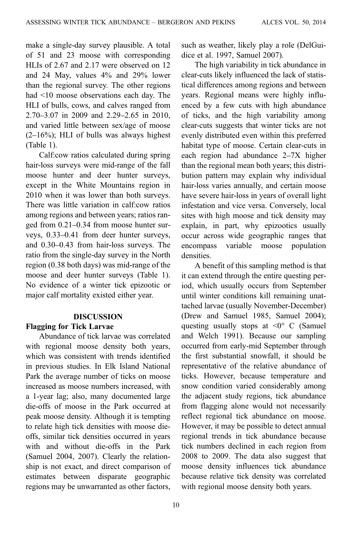make a single-day survey plausible. A total of 51 and 23 moose with corresponding HLIs of 2.67 and 2.17 were observed on 12 and 24 May, values 4% and 29% lower than the regional survey. The other regions had <10 moose observations each day. The HLI of bulls, cows, and calves ranged from 2.70–3.07 in 2009 and 2.29–2.65 in 2010, and varied little between sex/age of moose  $(2-16%)$ ; HLI of bulls was always highest [\(Table 1\)](#page-8-0).

Calf:cow ratios calculated during spring hair-loss surveys were mid-range of the fall moose hunter and deer hunter surveys, except in the White Mountains region in 2010 when it was lower than both surveys. There was little variation in calf:cow ratios among regions and between years; ratios ranged from 0.21–0.34 from moose hunter surveys, 0.33–0.41 from deer hunter surveys, and 0.30–0.43 from hair-loss surveys. The ratio from the single-day survey in the North region (0.38 both days) was mid-range of the moose and deer hunter surveys ([Table 1](#page-8-0)). No evidence of a winter tick epizootic or major calf mortality existed either year.

### DISCUSSION Flagging for Tick Larvae

Abundance of tick larvae was correlated with regional moose density both years, which was consistent with trends identified in previous studies. In Elk Island National Park the average number of ticks on moose increased as moose numbers increased, with a 1-year lag; also, many documented large die-offs of moose in the Park occurred at peak moose density. Although it is tempting to relate high tick densities with moose dieoffs, similar tick densities occurred in years with and without die-offs in the Park (Samuel [2004,](#page-13-0) [2007](#page-14-0)). Clearly the relationship is not exact, and direct comparison of estimates between disparate geographic regions may be unwarranted as other factors,

10

such as weather, likely play a role (DelGuidice et al. [1997](#page-13-0), Samuel [2007](#page-14-0)).

The high variability in tick abundance in clear-cuts likely influenced the lack of statistical differences among regions and between years. Regional means were highly influenced by a few cuts with high abundance of ticks, and the high variability among clear-cuts suggests that winter ticks are not evenly distributed even within this preferred habitat type of moose. Certain clear-cuts in each region had abundance 2–7X higher than the regional mean both years; this distribution pattern may explain why individual hair-loss varies annually, and certain moose have severe hair-loss in years of overall light infestation and vice versa. Conversely, local sites with high moose and tick density may explain, in part, why epizootics usually occur across wide geographic ranges that encompass variable moose population densities.

A benefit of this sampling method is that it can extend through the entire questing period, which usually occurs from September until winter conditions kill remaining unattached larvae (usually November-December) (Drew and Samuel [1985](#page-13-0), Samuel [2004\)](#page-13-0); questing usually stops at  $\leq 0^{\circ}$  C (Samuel and Welch [1991\)](#page-14-0). Because our sampling occurred from early-mid September through the first substantial snowfall, it should be representative of the relative abundance of ticks. However, because temperature and snow condition varied considerably among the adjacent study regions, tick abundance from flagging alone would not necessarily reflect regional tick abundance on moose. However, it may be possible to detect annual regional trends in tick abundance because tick numbers declined in each region from 2008 to 2009. The data also suggest that moose density influences tick abundance because relative tick density was correlated with regional moose density both years.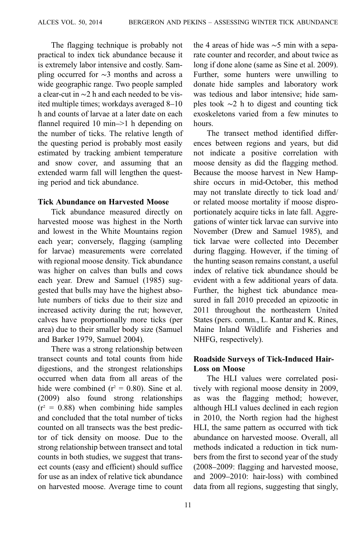The flagging technique is probably not practical to index tick abundance because it is extremely labor intensive and costly. Sampling occurred for ∼3 months and across a wide geographic range. Two people sampled a clear-cut in ∼2 h and each needed to be visited multiple times; workdays averaged 8–10 h and counts of larvae at a later date on each flannel required 10 min–>1 h depending on the number of ticks. The relative length of the questing period is probably most easily estimated by tracking ambient temperature and snow cover, and assuming that an extended warm fall will lengthen the questing period and tick abundance.

### Tick Abundance on Harvested Moose

Tick abundance measured directly on harvested moose was highest in the North and lowest in the White Mountains region each year; conversely, flagging (sampling for larvae) measurements were correlated with regional moose density. Tick abundance was higher on calves than bulls and cows each year. Drew and Samuel [\(1985\)](#page-13-0) suggested that bulls may have the highest absolute numbers of ticks due to their size and increased activity during the rut; however, calves have proportionally more ticks (per area) due to their smaller body size (Samuel and Barker [1979,](#page-14-0) Samuel [2004](#page-13-0)).

There was a strong relationship between transect counts and total counts from hide digestions, and the strongest relationships occurred when data from all areas of the hide were combined  $(r^2 = 0.80)$ . Sine et al. ([2009](#page-14-0)) also found strong relationships  $(r^2 = 0.88)$  when combining hide samples and concluded that the total number of ticks counted on all transects was the best predictor of tick density on moose. Due to the strong relationship between transect and total counts in both studies, we suggest that transect counts (easy and efficient) should suffice for use as an index of relative tick abundance on harvested moose. Average time to count the 4 areas of hide was ∼5 min with a separate counter and recorder, and about twice as long if done alone (same as Sine et al. [2009](#page-14-0)). Further, some hunters were unwilling to donate hide samples and laboratory work was tedious and labor intensive; hide samples took ∼2 h to digest and counting tick exoskeletons varied from a few minutes to hours.

The transect method identified differences between regions and years, but did not indicate a positive correlation with moose density as did the flagging method. Because the moose harvest in New Hampshire occurs in mid-October, this method may not translate directly to tick load and/ or related moose mortality if moose disproportionately acquire ticks in late fall. Aggregations of winter tick larvae can survive into November (Drew and Samuel [1985\)](#page-13-0), and tick larvae were collected into December during flagging. However, if the timing of the hunting season remains constant, a useful index of relative tick abundance should be evident with a few additional years of data. Further, the highest tick abundance measured in fall 2010 preceded an epizootic in 2011 throughout the northeastern United States (pers. comm., L. Kantar and K. Rines, Maine Inland Wildlife and Fisheries and NHFG, respectively).

# Roadside Surveys of Tick-Induced Hair-Loss on Moose

The HLI values were correlated positively with regional moose density in 2009, as was the flagging method; however, although HLI values declined in each region in 2010, the North region had the highest HLI, the same pattern as occurred with tick abundance on harvested moose. Overall, all methods indicated a reduction in tick numbers from the first to second year of the study (2008–2009: flagging and harvested moose, and 2009–2010: hair-loss) with combined data from all regions, suggesting that singly,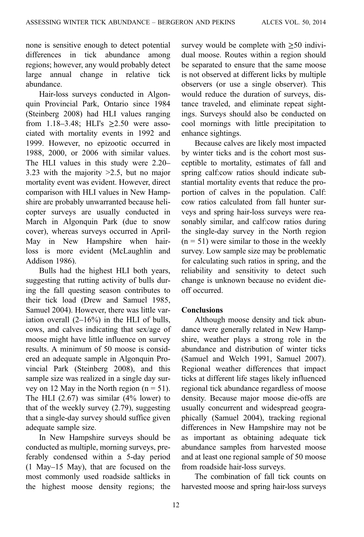none is sensitive enough to detect potential differences in tick abundance among regions; however, any would probably detect large annual change in relative tick abundance.

Hair-loss surveys conducted in Algonquin Provincial Park, Ontario since 1984 (Steinberg [2008](#page-14-0)) had HLI values ranging from 1.18–3.48; HLI's  $\geq 2.50$  were associated with mortality events in 1992 and 1999. However, no epizootic occurred in 1988, 2000, or 2006 with similar values. The HLI values in this study were 2.20– 3.23 with the majority >2.5, but no major mortality event was evident. However, direct comparison with HLI values in New Hampshire are probably unwarranted because helicopter surveys are usually conducted in March in Algonquin Park (due to snow cover), whereas surveys occurred in April-May in New Hampshire when hairloss is more evident (McLaughlin and Addison [1986\)](#page-13-0).

Bulls had the highest HLI both years, suggesting that rutting activity of bulls during the fall questing season contributes to their tick load (Drew and Samuel [1985,](#page-13-0) Samuel [2004\)](#page-13-0). However, there was little variation overall (2–16%) in the HLI of bulls, cows, and calves indicating that sex/age of moose might have little influence on survey results. A minimum of 50 moose is considered an adequate sample in Algonquin Provincial Park (Steinberg [2008\)](#page-14-0), and this sample size was realized in a single day survey on 12 May in the North region  $(n = 51)$ . The HLI  $(2.67)$  was similar  $(4\%$  lower) to that of the weekly survey (2.79), suggesting that a single-day survey should suffice given adequate sample size.

In New Hampshire surveys should be conducted as multiple, morning surveys, preferably condensed within a 5-day period (1 May–15 May), that are focused on the most commonly used roadside saltlicks in the highest moose density regions; the survey would be complete with  $\geq 50$  individual moose. Routes within a region should be separated to ensure that the same moose is not observed at different licks by multiple observers (or use a single observer). This would reduce the duration of surveys, distance traveled, and eliminate repeat sightings. Surveys should also be conducted on cool mornings with little precipitation to enhance sightings.

Because calves are likely most impacted by winter ticks and is the cohort most susceptible to mortality, estimates of fall and spring calf:cow ratios should indicate substantial mortality events that reduce the proportion of calves in the population. Calf: cow ratios calculated from fall hunter surveys and spring hair-loss surveys were reasonably similar, and calf:cow ratios during the single-day survey in the North region  $(n = 51)$  were similar to those in the weekly survey. Low sample size may be problematic for calculating such ratios in spring, and the reliability and sensitivity to detect such change is unknown because no evident dieoff occurred.

### **Conclusions**

Although moose density and tick abundance were generally related in New Hampshire, weather plays a strong role in the abundance and distribution of winter ticks (Samuel and Welch [1991,](#page-14-0) Samuel [2007](#page-14-0)). Regional weather differences that impact ticks at different life stages likely influenced regional tick abundance regardless of moose density. Because major moose die-offs are usually concurrent and widespread geographically (Samuel [2004\)](#page-13-0), tracking regional differences in New Hampshire may not be as important as obtaining adequate tick abundance samples from harvested moose and at least one regional sample of 50 moose from roadside hair-loss surveys.

The combination of fall tick counts on harvested moose and spring hair-loss surveys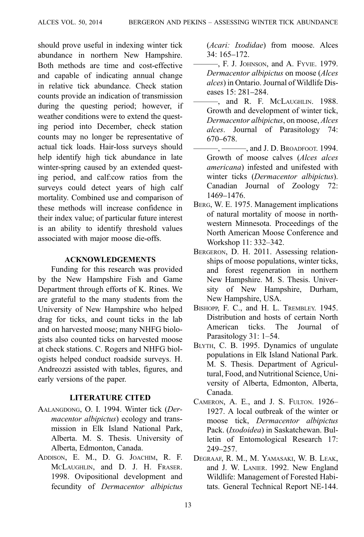<span id="page-12-0"></span>should prove useful in indexing winter tick abundance in northern New Hampshire. Both methods are time and cost-effective and capable of indicating annual change in relative tick abundance. Check station counts provide an indication of transmission during the questing period; however, if weather conditions were to extend the questing period into December, check station counts may no longer be representative of actual tick loads. Hair-loss surveys should help identify high tick abundance in late winter-spring caused by an extended questing period, and calf:cow ratios from the surveys could detect years of high calf mortality. Combined use and comparison of these methods will increase confidence in their index value; of particular future interest is an ability to identify threshold values associated with major moose die-offs.

#### ACKNOWLEDGEMENTS

Funding for this research was provided by the New Hampshire Fish and Game Department through efforts of K. Rines. We are grateful to the many students from the University of New Hampshire who helped drag for ticks, and count ticks in the lab and on harvested moose; many NHFG biologists also counted ticks on harvested moose at check stations. C. Rogers and NHFG biologists helped conduct roadside surveys. H. Andreozzi assisted with tables, figures, and early versions of the paper.

### LITERATURE CITED

- AALANGDONG, O. I. 1994. Winter tick (Dermacentor albipictus) ecology and transmission in Elk Island National Park, Alberta. M. S. Thesis. University of Alberta, Edmonton, Canada.
- ADDISON, E. M., D. G. JOACHIM, R. F. MCLAUGHLIN, and D. J. H. FRASER. 1998. Ovipositional development and fecundity of Dermacentor albipictus

(Acari: Ixodidae) from moose. Alces 34: 165–172.

- ———, F. J. JOHNSON, and A. FYVIE. 1979. Dermacentor albipictus on moose (Alces alces) in Ontario. Journal of Wildlife Diseases 15: 281–284.
- ———, and R. F. MCLAUGHLIN. 1988. Growth and development of winter tick, Dermacentor albipictus, on moose, Alces alces. Journal of Parasitology 74: 670–678.
- —, ———, and J. D. Broadfoot. 1994. Growth of moose calves (Alces alces americana) infested and unifested with winter ticks (Dermacentor albipictus). Canadian Journal of Zoology 72: 1469–1476.
- BERG, W. E. 1975. Management implications of natural mortality of moose in northwestern Minnesota. Proceedings of the North American Moose Conference and Workshop 11: 332–342.
- BERGERON, D. H. 2011. Assessing relationships of moose populations, winter ticks, and forest regeneration in northern New Hampshire. M. S. Thesis. University of New Hampshire, Durham, New Hampshire, USA.
- BISHOPP, F. C., and H. L. TREMBLEY. 1945. Distribution and hosts of certain North American ticks. The Journal of Parasitology 31: 1–54.
- BLYTH, C. B. 1995. Dynamics of ungulate populations in Elk Island National Park. M. S. Thesis. Department of Agricultural, Food, and Nutritional Science, University of Alberta, Edmonton, Alberta, Canada.
- CAMERON, A. E., and J. S. FULTON. 1926– 1927. A local outbreak of the winter or moose tick, Dermacentor albipictus Pack. (Ixodoidea) in Saskatchewan. Bulletin of Entomological Research 17: 249–257.
- DEGRAAF, R. M., M. YAMASAKI, W. B. LEAK, and J. W. LANIER. 1992. New England Wildlife: Management of Forested Habitats. General Technical Report NE-144.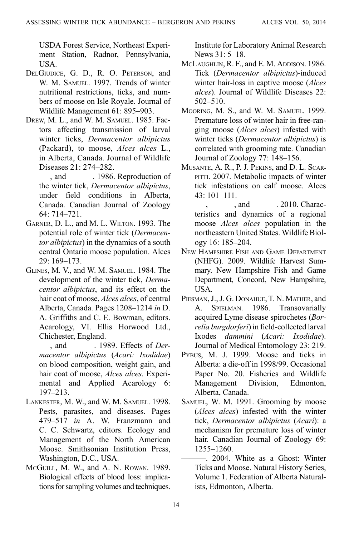<span id="page-13-0"></span>USDA Forest Service, Northeast Experiment Station, Radnor, Pennsylvania, USA.

- DELGIUDICE, G. D., R. O. PETERSON, and W. M. SAMUEL. 1997. Trends of winter nutritional restrictions, ticks, and numbers of moose on Isle Royale. Journal of Wildlife Management 61: 895–903.
- DREW, M. L., and W. M. SAMUEL. 1985. Factors affecting transmission of larval winter ticks, Dermacentor albipictus (Packard), to moose, Alces alces L., in Alberta, Canada. Journal of Wildlife Diseases 21: 274–282.
	- $-$ , and  $-$  1986. Reproduction of the winter tick, Dermacentor albipictus, under field conditions in Alberta, Canada. Canadian Journal of Zoology 64: 714–721.
- GARNER, D. L., and M. L. WILTON. 1993. The potential role of winter tick (Dermacentor albipictus) in the dynamics of a south central Ontario moose population. Alces 29: 169–173.
- GLINES, M. V., and W. M. SAMUEL. 1984. The development of the winter tick, Dermacentor albipictus, and its effect on the hair coat of moose, *Alces alces*, of central Alberta, Canada. Pages 1208–1214 in D. A. Griffiths and C. E. Bowman, editors. Acarology, VI. Ellis Horwood Ltd., Chichester, England.

—, and ———. 1989. Effects of *Der*macentor albipictus (Acari: Ixodidae) on blood composition, weight gain, and hair coat of moose, Alces alces. Experimental and Applied Acarology 6: 197–213.

- LANKESTER, M. W., and W. M. SAMUEL. 1998. Pests, parasites, and diseases. Pages 479–517 in A. W. Franzmann and C. C. Schwartz, editors. Ecology and Management of the North American Moose. Smithsonian Institution Press, Washington, D.C., USA.
- MCGUILL, M. W., and A. N. ROWAN. 1989. Biological effects of blood loss: implications for sampling volumes and techniques.

Institute for Laboratory Animal Research News 31: 5–18.

- MCLAUGHLIN, R. F., and E. M. ADDISON. 1986. Tick (Dermacentor albipictus)-induced winter hair-loss in captive moose (*Alces*) alces). Journal of Wildlife Diseases 22: 502–510.
- MOORING, M. S., and W. M. SAMUEL. 1999. Premature loss of winter hair in free-ranging moose (Alces alces) infested with winter ticks (Dermacentor albipictus) is correlated with grooming rate. Canadian Journal of Zoology 77: 148–156.
- MUSANTE, A. R., P. J. PEKINS, and D. L. SCAR-PITTI. 2007. Metabolic impacts of winter tick infestations on calf moose. Alces 43: 101–111.
- $-$ ,  $-$ , and  $-$ , 2010. Characteristics and dynamics of a regional moose Alces alces population in the northeastern United States. Wildlife Biology 16: 185–204.
- NEW HAMPSHIRE FISH AND GAME DEPARTMENT (NHFG). 2009. Wildlife Harvest Summary. New Hampshire Fish and Game Department, Concord, New Hampshire, USA.
- PIESMAN, J., J. G. DONAHUE, T. N. MATHER, and A. SPIELMAN. 1986. Transovarially acquired Lyme disease spirochetes (Borrelia burgdorferi) in field-collected larval Ixodes dammini (Acari: Ixodidae). Journal of Medical Entomology 23: 219.
- PYBUS, M. J. 1999. Moose and ticks in Alberta: a die-off in 1998/99. Occasional Paper No. 20. Fisheries and Wildlife Management Division, Edmonton, Alberta, Canada.
- SAMUEL, W. M. 1991. Grooming by moose (Alces alces) infested with the winter tick, Dermacentor albipictus (Acari): a mechanism for premature loss of winter hair. Canadian Journal of Zoology 69: 1255–1260.
- ———. 2004. White as a Ghost: Winter Ticks and Moose. Natural History Series, Volume 1. Federation of Alberta Naturalists, Edmonton, Alberta.